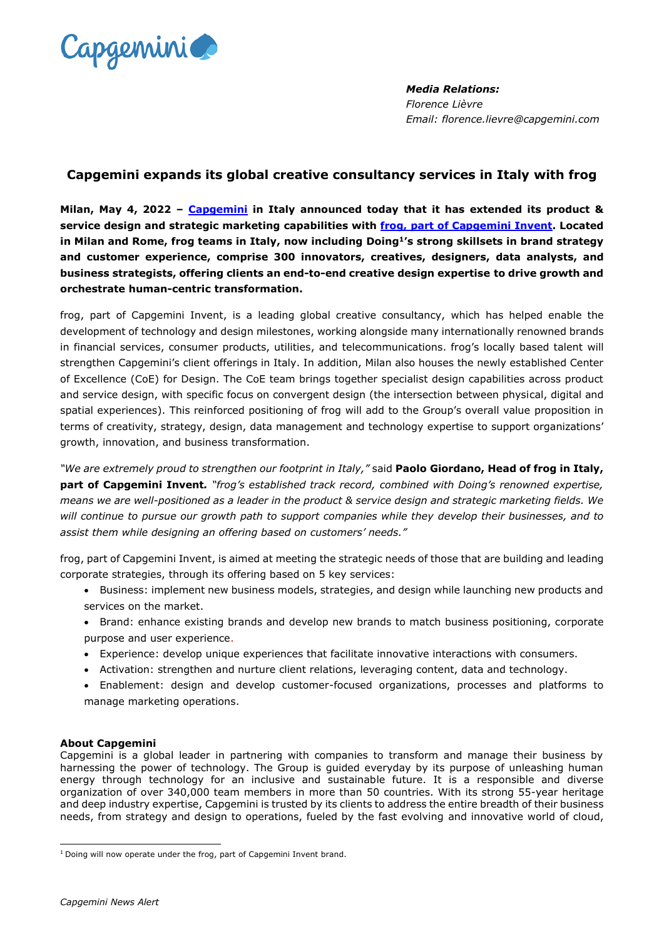

*Media Relations: Florence Lièvre Email: florence.lievre@capgemini.com*

## **Capgemini expands its global creative consultancy services in Italy with frog**

**Milan, May 4, 2022 – [Capgemini](https://www.capgemini.com/) in Italy announced today that it has extended its product & service design and strategic marketing capabilities with [frog, part of Capgemini Invent.](https://www.frog.co/) Located in Milan and Rome, frog teams in Italy, now including Doing<sup>1</sup>'s strong skillsets in brand strategy and customer experience, comprise 300 innovators, creatives, designers, data analysts, and business strategists, offering clients an end-to-end creative design expertise to drive growth and orchestrate human-centric transformation.**

[frog,](file:///C:/Users/flievre/AppData/Local/Microsoft/Windows/INetCache/Content.Outlook/LYD8F2JK/frog.co) part of Capgemini Invent, is a leading global creative consultancy, which has helped enable the development of technology and design milestones, working alongside many internationally renowned brands in financial services, consumer products, utilities, and telecommunications. frog's locally based talent will strengthen Capgemini's client offerings in Italy. In addition, Milan also houses the newly established Center of Excellence (CoE) for Design. The CoE team brings together specialist design capabilities across product and service design, with specific focus on convergent design (the intersection between physical, digital and spatial experiences). This reinforced positioning of frog will add to the Group's overall value proposition in terms of creativity, strategy, design, data management and technology expertise to support organizations' growth, innovation, and business transformation.

*"We are extremely proud to strengthen our footprint in Italy,"* said **Paolo Giordano, Head of frog in Italy, part of Capgemini Invent***. "frog's established track record, combined with Doing's renowned expertise, means we are well-positioned as a leader in the product & service design and strategic marketing fields. We will continue to pursue our growth path to support companies while they develop their businesses, and to assist them while designing an offering based on customers' needs."*

frog, part of Capgemini Invent, is aimed at meeting the strategic needs of those that are building and leading corporate strategies, through its offering based on 5 key services:

- Business: implement new business models, strategies, and design while launching new products and services on the market.
- Brand: enhance existing brands and develop new brands to match business positioning, corporate purpose and user experience.
- Experience: develop unique experiences that facilitate innovative interactions with consumers.
- Activation: strengthen and nurture client relations, leveraging content, data and technology.
- Enablement: design and develop customer-focused organizations, processes and platforms to manage marketing operations.

## **About Capgemini**

Capgemini is a global leader in partnering with companies to transform and manage their business by harnessing the power of technology. The Group is guided everyday by its purpose of unleashing human energy through technology for an inclusive and sustainable future. It is a responsible and diverse organization of over 340,000 team members in more than 50 countries. With its strong 55-year heritage and deep industry expertise, Capgemini is trusted by its clients to address the entire breadth of their business needs, from strategy and design to operations, fueled by the fast evolving and innovative world of cloud,

<sup>&</sup>lt;sup>1</sup> Doing will now operate under the frog, part of Capgemini Invent brand.